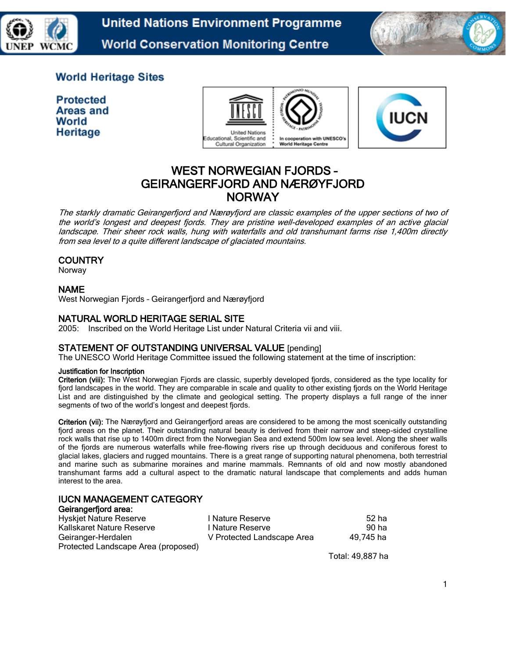

**United Nations Environment Programme World Conservation Monitoring Centre** 



## **World Heritage Sites**

**Protected** Areas and World Heritage





# WEST NORWEGIAN FJORDS – GEIRANGERFJORD AND NÆRØYFJORD **NORWAY**

The starkly dramatic Geirangerfjord and Nærøyfjord are classic examples of the upper sections of two of the world's longest and deepest fjords. They are pristine well-developed examples of an active glacial landscape. Their sheer rock walls, hung with waterfalls and old transhumant farms rise 1,400m directly from sea level to a quite different landscape of glaciated mountains.

#### **COUNTRY**

Norway

#### NAME

West Norwegian Fjords – Geirangerfjord and Nærøyfjord

#### NATURAL WORLD HERITAGE SERIAL SITE

2005: Inscribed on the World Heritage List under Natural Criteria vii and viii.

#### STATEMENT OF OUTSTANDING UNIVERSAL VALUE [pending]

The UNESCO World Heritage Committee issued the following statement at the time of inscription:

#### Justification for Inscription

Criterion (viii): The West Norwegian Fjords are classic, superbly developed fjords, considered as the type locality for fjord landscapes in the world. They are comparable in scale and quality to other existing fjords on the World Heritage List and are distinguished by the climate and geological setting. The property displays a full range of the inner segments of two of the world's longest and deepest fjords.

Criterion (vii): The Nærøyfjord and Geirangerfjord areas are considered to be among the most scenically outstanding fjord areas on the planet. Their outstanding natural beauty is derived from their narrow and steep-sided crystalline rock walls that rise up to 1400m direct from the Norwegian Sea and extend 500m low sea level. Along the sheer walls of the fjords are numerous waterfalls while free-flowing rivers rise up through deciduous and coniferous forest to glacial lakes, glaciers and rugged mountains. There is a great range of supporting natural phenomena, both terrestrial and marine such as submarine moraines and marine mammals. Remnants of old and now mostly abandoned transhumant farms add a cultural aspect to the dramatic natural landscape that complements and adds human interest to the area.

## IUCN MANAGEMENT CATEGORY

#### Geirangerfjord area:

| <b>Hyskjet Nature Reserve</b>       | I Nature Reserve           | 52 ha     |
|-------------------------------------|----------------------------|-----------|
| Kallskaret Nature Reserve           | I Nature Reserve           | 90 ha     |
| Geiranger-Herdalen                  | V Protected Landscape Area | 49,745 ha |
| Protected Landscape Area (proposed) |                            |           |

Total: 49,887 ha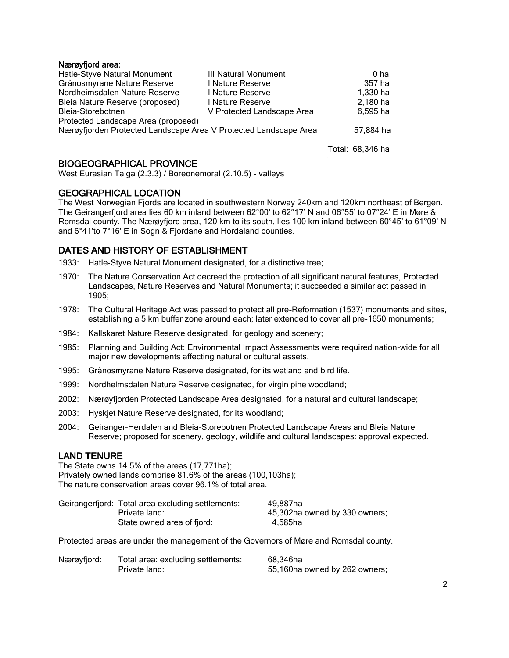#### Nærøyfjord area:

| Hatle-Styve Natural Monument                                     | III Natural Monument       | 0 ha      |
|------------------------------------------------------------------|----------------------------|-----------|
| Grånosmyrane Nature Reserve                                      | I Nature Reserve           | 357 ha    |
| Nordheimsdalen Nature Reserve                                    | I Nature Reserve           | 1,330 ha  |
| Bleia Nature Reserve (proposed)                                  | I Nature Reserve           | 2,180 ha  |
| Bleia-Storebotnen                                                | V Protected Landscape Area | 6.595 ha  |
| Protected Landscape Area (proposed)                              |                            |           |
| Nærøyfjorden Protected Landscape Area V Protected Landscape Area |                            | 57,884 ha |
|                                                                  |                            |           |

Total: 68,346 ha

#### BIOGEOGRAPHICAL PROVINCE

West Eurasian Taiga (2.3.3) / Boreonemoral (2.10.5) - valleys

#### GEOGRAPHICAL LOCATION

The West Norwegian Fjords are located in southwestern Norway 240km and 120km northeast of Bergen. The Geirangerfjord area lies 60 km inland between 62°00' to 62°17' N and 06°55' to 07°24' E in Møre & Romsdal county. The Nærøyfjord area, 120 km to its south, lies 100 km inland between 60°45' to 61°09' N and 6°41'to 7°16' E in Sogn & Fjordane and Hordaland counties.

#### DATES AND HISTORY OF ESTABLISHMENT

1933: Hatle-Styve Natural Monument designated, for a distinctive tree;

- 1970: The Nature Conservation Act decreed the protection of all significant natural features, Protected Landscapes, Nature Reserves and Natural Monuments; it succeeded a similar act passed in 1905;
- 1978: The Cultural Heritage Act was passed to protect all pre-Reformation (1537) monuments and sites, establishing a 5 km buffer zone around each; later extended to cover all pre-1650 monuments;
- 1984: Kallskaret Nature Reserve designated, for geology and scenery;
- 1985: Planning and Building Act: Environmental Impact Assessments were required nation-wide for all major new developments affecting natural or cultural assets.
- 1995: Grånosmyrane Nature Reserve designated, for its wetland and bird life.
- 1999: Nordhelmsdalen Nature Reserve designated, for virgin pine woodland;
- 2002: Nærøyfjorden Protected Landscape Area designated, for a natural and cultural landscape;
- 2003: Hyskjet Nature Reserve designated, for its woodland;
- 2004: Geiranger-Herdalen and Bleia-Storebotnen Protected Landscape Areas and Bleia Nature Reserve; proposed for scenery, geology, wildlife and cultural landscapes: approval expected.

#### LAND TENURE

The State owns 14.5% of the areas (17,771ha); Privately owned lands comprise 81.6% of the areas (100,103ha); The nature conservation areas cover 96.1% of total area.

| Geirangerfjord: Total area excluding settlements: | 49.887ha                      |
|---------------------------------------------------|-------------------------------|
| Private land:                                     | 45,302ha owned by 330 owners; |
| State owned area of fjord:                        | 4.585ha                       |

Protected areas are under the management of the Governors of Møre and Romsdal county.

| Nærøyfjord: | Total area: excluding settlements: | 68,346ha                      |
|-------------|------------------------------------|-------------------------------|
|             | Private land:                      | 55,160ha owned by 262 owners; |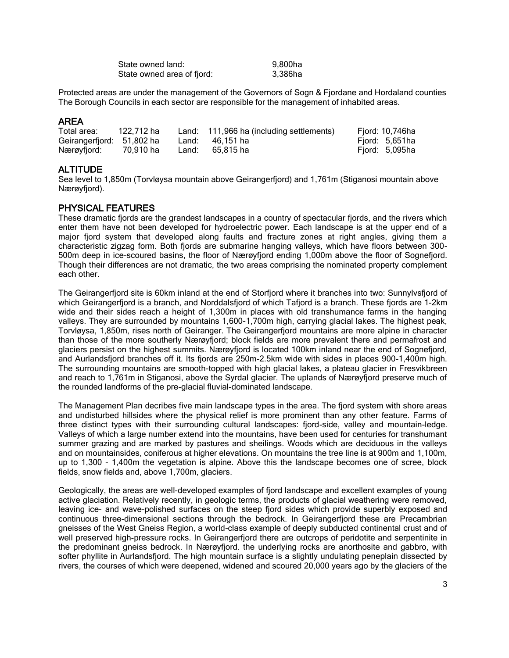| State owned land:          | 9,800ha |
|----------------------------|---------|
| State owned area of fjord: | 3,386ha |

Protected areas are under the management of the Governors of Sogn & Fjordane and Hordaland counties The Borough Councils in each sector are responsible for the management of inhabited areas.

#### AREA

| Total area:               | 122.712 ha | Land: 111,966 ha (including settlements) | Fjord: 10,746ha |  |
|---------------------------|------------|------------------------------------------|-----------------|--|
| Geirangerfjord: 51,802 ha |            | Land: 46,151 ha                          | Fiord: 5,651ha  |  |
| Nærøvfiord:               | 70.910 ha  | Land: 65.815 ha                          | Fiord: 5,095ha  |  |

### **ALTITUDE**

Sea level to 1,850m (Torvløysa mountain above Geirangerfjord) and 1,761m (Stiganosi mountain above Nærøyfjord).

#### PHYSICAL FEATURES

These dramatic fjords are the grandest landscapes in a country of spectacular fjords, and the rivers which enter them have not been developed for hydroelectric power. Each landscape is at the upper end of a major fjord system that developed along faults and fracture zones at right angles, giving them a characteristic zigzag form. Both fjords are submarine hanging valleys, which have floors between 300- 500m deep in ice-scoured basins, the floor of Nærøyfjord ending 1,000m above the floor of Sognefjord. Though their differences are not dramatic, the two areas comprising the nominated property complement each other.

The Geirangerfjord site is 60km inland at the end of Storfjord where it branches into two: Sunnylvsfjord of which Geirangerfjord is a branch, and Norddalsfjord of which Tafjord is a branch. These fjords are 1-2km wide and their sides reach a height of 1,300m in places with old transhumance farms in the hanging valleys. They are surrounded by mountains 1,600-1,700m high, carrying glacial lakes. The highest peak, Torvløysa, 1,850m, rises north of Geiranger. The Geirangerfjord mountains are more alpine in character than those of the more southerly Nærøyfjord; block fields are more prevalent there and permafrost and glaciers persist on the highest summits. Nærøyfjord is located 100km inland near the end of Sognefjord, and Aurlandsfjord branches off it. Its fjords are 250m-2.5km wide with sides in places 900-1,400m high. The surrounding mountains are smooth-topped with high glacial lakes, a plateau glacier in Fresvikbreen and reach to 1,761m in Stiganosi, above the Syrdal glacier. The uplands of Nærøyfjord preserve much of the rounded landforms of the pre-glacial fluvial-dominated landscape.

The Management Plan decribes five main landscape types in the area. The fjord system with shore areas and undisturbed hillsides where the physical relief is more prominent than any other feature. Farms of three distinct types with their surrounding cultural landscapes: fjord-side, valley and mountain-ledge. Valleys of which a large number extend into the mountains, have been used for centuries for transhumant summer grazing and are marked by pastures and sheilings. Woods which are deciduous in the valleys and on mountainsides, coniferous at higher elevations. On mountains the tree line is at 900m and 1,100m, up to 1,300 - 1,400m the vegetation is alpine. Above this the landscape becomes one of scree, block fields, snow fields and, above 1,700m, glaciers.

Geologically, the areas are well-developed examples of fjord landscape and excellent examples of young active glaciation. Relatively recently, in geologic terms, the products of glacial weathering were removed, leaving ice- and wave-polished surfaces on the steep fjord sides which provide superbly exposed and continuous three-dimensional sections through the bedrock. In Geirangerfjord these are Precambrian gneisses of the West Gneiss Region, a world-class example of deeply subducted continental crust and of well preserved high-pressure rocks. In Geirangerfjord there are outcrops of peridotite and serpentinite in the predominant gneiss bedrock. In Nærøyfjord. the underlying rocks are anorthosite and gabbro, with softer phyllite in Aurlandsfjord. The high mountain surface is a slightly undulating peneplain dissected by rivers, the courses of which were deepened, widened and scoured 20,000 years ago by the glaciers of the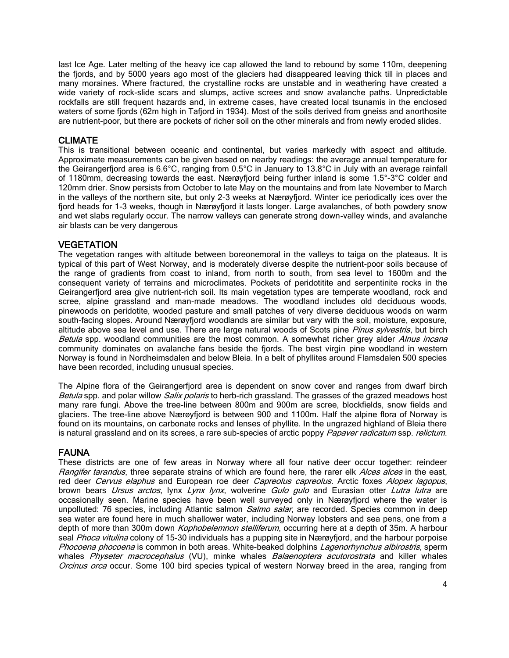last Ice Age. Later melting of the heavy ice cap allowed the land to rebound by some 110m, deepening the fjords, and by 5000 years ago most of the glaciers had disappeared leaving thick till in places and many moraines. Where fractured, the crystalline rocks are unstable and in weathering have created a wide variety of rock-slide scars and slumps, active screes and snow avalanche paths. Unpredictable rockfalls are still frequent hazards and, in extreme cases, have created local tsunamis in the enclosed waters of some fjords (62m high in Tafjord in 1934). Most of the soils derived from gneiss and anorthosite are nutrient-poor, but there are pockets of richer soil on the other minerals and from newly eroded slides.

#### CLIMATE

This is transitional between oceanic and continental, but varies markedly with aspect and altitude. Approximate measurements can be given based on nearby readings: the average annual temperature for the Geirangerfjord area is 6.6°C, ranging from 0.5°C in January to 13.8°C in July with an average rainfall of 1180mm, decreasing towards the east. Nærøyfjord being further inland is some 1.5°-3°C colder and 120mm drier. Snow persists from October to late May on the mountains and from late November to March in the valleys of the northern site, but only 2-3 weeks at Nærøyfjord. Winter ice periodically ices over the fjord heads for 1-3 weeks, though in Nærøyfjord it lasts longer. Large avalanches, of both powdery snow and wet slabs regularly occur. The narrow valleys can generate strong down-valley winds, and avalanche air blasts can be very dangerous

#### **VEGETATION**

The vegetation ranges with altitude between boreonemoral in the valleys to taiga on the plateaus. It is typical of this part of West Norway, and is moderately diverse despite the nutrient-poor soils because of the range of gradients from coast to inland, from north to south, from sea level to 1600m and the consequent variety of terrains and microclimates. Pockets of peridotitite and serpentinite rocks in the Geirangerfjord area give nutrient-rich soil. Its main vegetation types are temperate woodland, rock and scree, alpine grassland and man-made meadows. The woodland includes old deciduous woods, pinewoods on peridotite, wooded pasture and small patches of very diverse deciduous woods on warm south-facing slopes. Around Nærøyfjord woodlands are similar but vary with the soil, moisture, exposure, altitude above sea level and use. There are large natural woods of Scots pine Pinus sylvestris, but birch Betula spp. woodland communities are the most common. A somewhat richer grey alder Alnus incana community dominates on avalanche fans beside the fjords. The best virgin pine woodland in western Norway is found in Nordheimsdalen and below Bleia. In a belt of phyllites around Flamsdalen 500 species have been recorded, including unusual species.

The Alpine flora of the Geirangerfjord area is dependent on snow cover and ranges from dwarf birch Betula spp. and polar willow *Salix polaris* to herb-rich grassland. The grasses of the grazed meadows host many rare fungi. Above the tree-line between 800m and 900m are scree, blockfields, snow fields and glaciers. The tree-line above Nærøyfjord is between 900 and 1100m. Half the alpine flora of Norway is found on its mountains, on carbonate rocks and lenses of phyllite. In the ungrazed highland of Bleia there is natural grassland and on its screes, a rare sub-species of arctic poppy Papaver radicatum ssp. relictum.

### FAUNA

These districts are one of few areas in Norway where all four native deer occur together: reindeer Rangifer tarandus, three separate strains of which are found here, the rarer elk Alces alces in the east, red deer Cervus elaphus and European roe deer Capreolus capreolus. Arctic foxes Alopex lagopus, brown bears *Ursus arctos*, lynx Lynx lynx, wolverine Gulo gulo and Eurasian otter Lutra lutra are occasionally seen. Marine species have been well surveyed only in Nærøyfjord where the water is unpolluted: 76 species, including Atlantic salmon *Salmo salar*, are recorded. Species common in deep sea water are found here in much shallower water, including Norway lobsters and sea pens, one from a depth of more than 300m down *Kophobelemnon stelliferum*, occurring here at a depth of 35m. A harbour seal *Phoca vitulina* colony of 15-30 individuals has a pupping site in Nærøyfjord, and the harbour porpoise Phocoena phocoena is common in both areas. White-beaked dolphins Lagenorhynchus albirostris, sperm whales Physeter macrocephalus (VU), minke whales Balaenoptera acutorostrata and killer whales Orcinus orca occur. Some 100 bird species typical of western Norway breed in the area, ranging from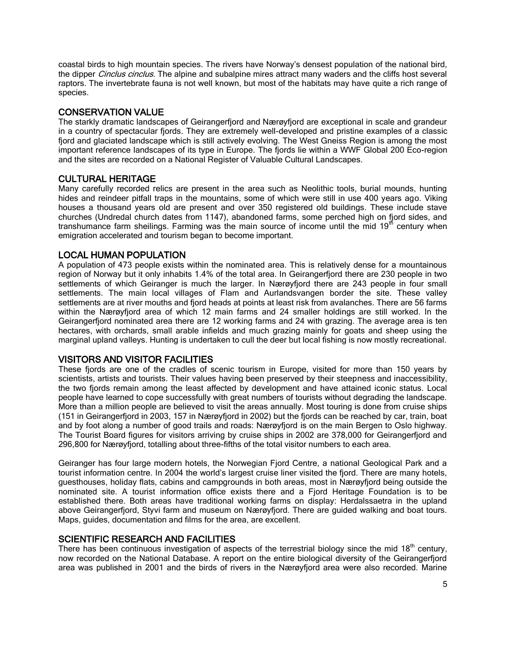coastal birds to high mountain species. The rivers have Norway's densest population of the national bird, the dipper *Cinclus cinclus*. The alpine and subalpine mires attract many waders and the cliffs host several raptors. The invertebrate fauna is not well known, but most of the habitats may have quite a rich range of species.

## CONSERVATION VALUE

The starkly dramatic landscapes of Geirangerfjord and Nærøyfjord are exceptional in scale and grandeur in a country of spectacular fjords. They are extremely well-developed and pristine examples of a classic fjord and glaciated landscape which is still actively evolving. The West Gneiss Region is among the most important reference landscapes of its type in Europe. The fjords lie within a WWF Global 200 Eco-region and the sites are recorded on a National Register of Valuable Cultural Landscapes.

### CULTURAL HERITAGE

Many carefully recorded relics are present in the area such as Neolithic tools, burial mounds, hunting hides and reindeer pitfall traps in the mountains, some of which were still in use 400 years ago. Viking houses a thousand years old are present and over 350 registered old buildings. These include stave churches (Undredal church dates from 1147), abandoned farms, some perched high on fjord sides, and transhumance farm sheilings. Farming was the main source of income until the mid  $19<sup>th</sup>$  century when emigration accelerated and tourism began to become important.

## LOCAL HUMAN POPULATION

A population of 473 people exists within the nominated area. This is relatively dense for a mountainous region of Norway but it only inhabits 1.4% of the total area. In Geirangerfjord there are 230 people in two settlements of which Geiranger is much the larger. In Nærøyfjord there are 243 people in four small settlements. The main local villages of Flam and Aurlandsvangen border the site. These valley settlements are at river mouths and fjord heads at points at least risk from avalanches. There are 56 farms within the Nærøyfjord area of which 12 main farms and 24 smaller holdings are still worked. In the Geirangerfjord nominated area there are 12 working farms and 24 with grazing. The average area is ten hectares, with orchards, small arable infields and much grazing mainly for goats and sheep using the marginal upland valleys. Hunting is undertaken to cull the deer but local fishing is now mostly recreational.

### VISITORS AND VISITOR FACILITIES

These fjords are one of the cradles of scenic tourism in Europe, visited for more than 150 years by scientists, artists and tourists. Their values having been preserved by their steepness and inaccessibility, the two fjords remain among the least affected by development and have attained iconic status. Local people have learned to cope successfully with great numbers of tourists without degrading the landscape. More than a million people are believed to visit the areas annually. Most touring is done from cruise ships (151 in Geirangerfjord in 2003, 157 in Nærøyfjord in 2002) but the fjords can be reached by car, train, boat and by foot along a number of good trails and roads: Nærøyfjord is on the main Bergen to Oslo highway. The Tourist Board figures for visitors arriving by cruise ships in 2002 are 378,000 for Geirangerfjord and 296,800 for Nærøyfjord, totalling about three-fifths of the total visitor numbers to each area.

Geiranger has four large modern hotels, the Norwegian Fjord Centre, a national Geological Park and a tourist information centre. In 2004 the world's largest cruise liner visited the fjord. There are many hotels, guesthouses, holiday flats, cabins and campgrounds in both areas, most in Nærøyfjord being outside the nominated site. A tourist information office exists there and a Fjord Heritage Foundation is to be established there. Both areas have traditional working farms on display: Herdalssaetra in the upland above Geirangerfjord, Styvi farm and museum on Nærøyfjord. There are guided walking and boat tours. Maps, guides, documentation and films for the area, are excellent.

### SCIENTIFIC RESEARCH AND FACILITIES

There has been continuous investigation of aspects of the terrestrial biology since the mid  $18<sup>th</sup>$  century, now recorded on the National Database. A report on the entire biological diversity of the Geirangerfjord area was published in 2001 and the birds of rivers in the Nærøyfjord area were also recorded. Marine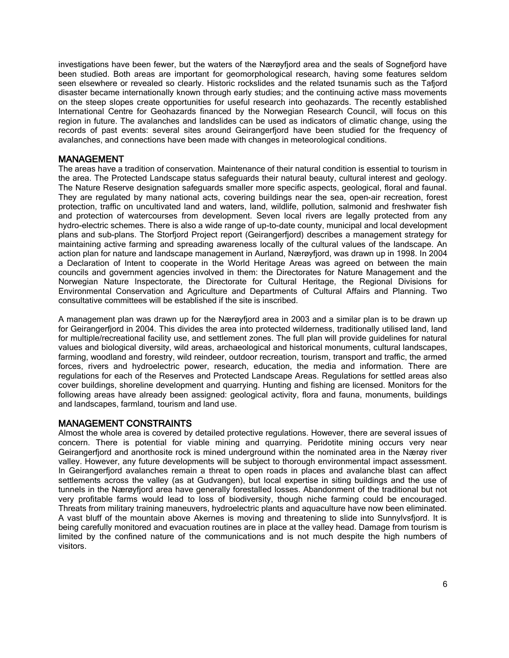investigations have been fewer, but the waters of the Nærøyfjord area and the seals of Sognefjord have been studied. Both areas are important for geomorphological research, having some features seldom seen elsewhere or revealed so clearly. Historic rockslides and the related tsunamis such as the Tafjord disaster became internationally known through early studies; and the continuing active mass movements on the steep slopes create opportunities for useful research into geohazards. The recently established International Centre for Geohazards financed by the Norwegian Research Council, will focus on this region in future. The avalanches and landslides can be used as indicators of climatic change, using the records of past events: several sites around Geirangerfjord have been studied for the frequency of avalanches, and connections have been made with changes in meteorological conditions.

#### MANAGEMENT

The areas have a tradition of conservation. Maintenance of their natural condition is essential to tourism in the area. The Protected Landscape status safeguards their natural beauty, cultural interest and geology. The Nature Reserve designation safeguards smaller more specific aspects, geological, floral and faunal. They are regulated by many national acts, covering buildings near the sea, open-air recreation, forest protection, traffic on uncultivated land and waters, land, wildlife, pollution, salmonid and freshwater fish and protection of watercourses from development. Seven local rivers are legally protected from any hydro-electric schemes. There is also a wide range of up-to-date county, municipal and local development plans and sub-plans. The Storfjord Project report (Geirangerfjord) describes a management strategy for maintaining active farming and spreading awareness locally of the cultural values of the landscape. An action plan for nature and landscape management in Aurland, Nærøyfjord, was drawn up in 1998. In 2004 a Declaration of Intent to cooperate in the World Heritage Areas was agreed on between the main councils and government agencies involved in them: the Directorates for Nature Management and the Norwegian Nature Inspectorate, the Directorate for Cultural Heritage, the Regional Divisions for Environmental Conservation and Agriculture and Departments of Cultural Affairs and Planning. Two consultative committees will be established if the site is inscribed.

A management plan was drawn up for the Nærøyfjord area in 2003 and a similar plan is to be drawn up for Geirangerfjord in 2004. This divides the area into protected wilderness, traditionally utilised land, land for multiple/recreational facility use, and settlement zones. The full plan will provide guidelines for natural values and biological diversity, wild areas, archaeological and historical monuments, cultural landscapes, farming, woodland and forestry, wild reindeer, outdoor recreation, tourism, transport and traffic, the armed forces, rivers and hydroelectric power, research, education, the media and information. There are regulations for each of the Reserves and Protected Landscape Areas. Regulations for settled areas also cover buildings, shoreline development and quarrying. Hunting and fishing are licensed. Monitors for the following areas have already been assigned: geological activity, flora and fauna, monuments, buildings and landscapes, farmland, tourism and land use.

#### MANAGEMENT CONSTRAINTS

Almost the whole area is covered by detailed protective regulations. However, there are several issues of concern. There is potential for viable mining and quarrying. Peridotite mining occurs very near Geirangerfjord and anorthosite rock is mined underground within the nominated area in the Nærøy river valley. However, any future developments will be subject to thorough environmental impact assessment. In Geirangerfjord avalanches remain a threat to open roads in places and avalanche blast can affect settlements across the valley (as at Gudvangen), but local expertise in siting buildings and the use of tunnels in the Nærøyfjord area have generally forestalled losses. Abandonment of the traditional but not very profitable farms would lead to loss of biodiversity, though niche farming could be encouraged. Threats from military training maneuvers, hydroelectric plants and aquaculture have now been eliminated. A vast bluff of the mountain above Akernes is moving and threatening to slide into Sunnylvsfjord. It is being carefully monitored and evacuation routines are in place at the valley head. Damage from tourism is limited by the confined nature of the communications and is not much despite the high numbers of visitors.